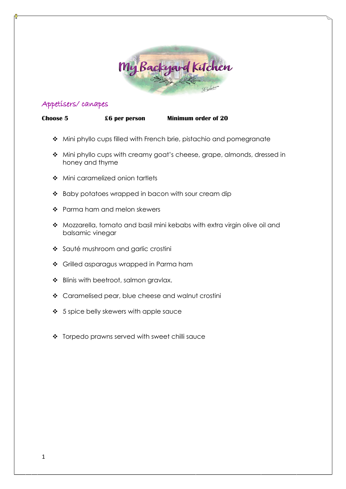

# Appetisers/ canapes

**Choose 5 £6 per person Minimum order of 20**

- ◆ Mini phyllo cups filled with French brie, pistachio and pomegranate
- ◆ Mini phyllo cups with creamy goat's cheese, grape, almonds, dressed in honey and thyme
- ◆ Mini caramelized onion tartlets
- ❖ Baby potatoes wrapped in bacon with sour cream dip
- \* Parma ham and melon skewers
- ◆ Mozzarella, tomato and basil mini kebabs with extra virgin olive oil and balsamic vinegar
- Sauté mushroom and garlic crostini
- Grilled asparagus wrapped in Parma ham
- Blinis with beetroot, salmon gravlax.
- Caramelised pear, blue cheese and walnut crostini
- $\div$  5 spice belly skewers with apple sauce
- \* Torpedo prawns served with sweet chilli sauce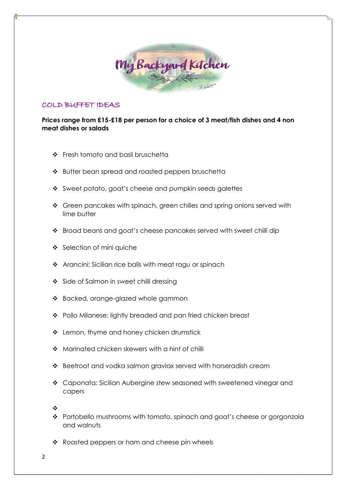

## COLD BUFFET IDEAS

**Prices range from £15-£18 per person for a choice of 3 meat/fish dishes and 4 non meat dishes or salads**

- ❖ Fresh tomato and basil bruschetta
- ❖ Butter bean spread and roasted peppers bruschetta
- Sweet potato, goat's cheese and pumpkin seeds galettes
- ❖ Green pancakes with spinach, green chilies and spring onions served with lime butter
- ❖ Broad beans and goat's cheese pancakes served with sweet chilli dip
- ❖ Selection of mini quiche
- \* Arancini: Sicilian rice balls with meat ragu or spinach
- ❖ Side of Salmon in sweet chilli dressing
- \* Backed, orange-glazed whole gammon
- \* Pollo Milanese: lightly breaded and pan fried chicken breast
- ❖ Lemon, thyme and honey chicken drumstick
- ❖ Marinated chicken skewers with a hint of chilli
- ❖ Beetroot and vodka salmon gravlax served with horseradish cream
- Caponata: Sicilian Aubergine stew seasoned with sweetened vinegar and capers

❖

- ❖ Portobello mushrooms with tomato, spinach and goat's cheese or gorgonzola and walnuts
- \* Roasted peppers or ham and cheese pin wheels

2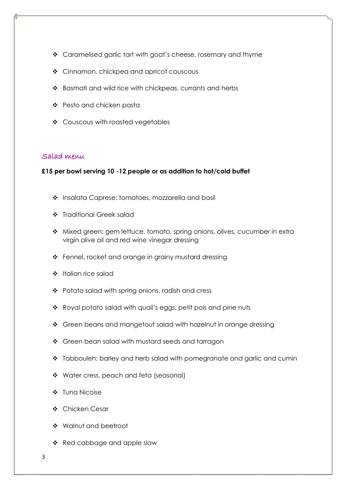- \* Caramelised garlic tart with goat's cheese, rosemary and thyme
- ❖ Cinnamon, chickpea and apricot couscous
- Basmati and wild rice with chickpeas, currants and herbs
- Pesto and chicken pasta
- ❖ Couscous with roasted vegetables

### Salad menu

**£15 per bowl serving 10 -12 people or as addition to hot/cold buffet**

- \* Insalata Caprese: tomatoes, mozzarella and basil
- **\*** Traditional Greek salad
- ◆ Mixed green: gem lettuce, tomato, spring onions, olives, cucumber in extra virgin olive oil and red wine vinegar dressing
- ❖ Fennel, rocket and orange in grainy mustard dressing
- $\div$  Italian rice salad
- ❖ Potato salad with spring onions, radish and cress
- \* Royal potato salad with quail's eggs, petit pois and pine nuts
- ❖ Green beans and mangetout salad with hazelnut in orange dressing
- ❖ Green bean salad with mustard seeds and tarragon
- \* Tabbouleh: barley and herb salad with pomegranate and garlic and cumin
- \* Water cress, peach and feta (seasonal)
- ❖ Tuna Nicoise
- ❖ Chicken Cesar
- Walnut and beetroot
- $\triangleleft$  Red cabbage and apple slaw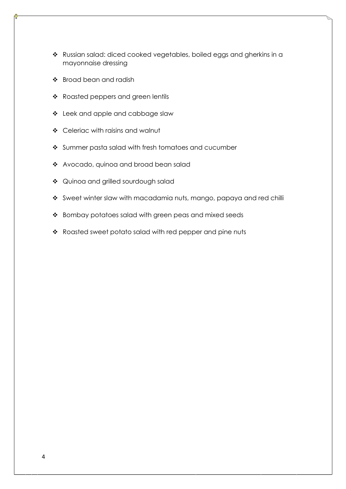- \* Russian salad: diced cooked vegetables, boiled eggs and gherkins in a mayonnaise dressing
- ❖ Broad bean and radish
- \* Roasted peppers and green lentils
- Leek and apple and cabbage slaw
- Celeriac with raisins and walnut
- ❖ Summer pasta salad with fresh tomatoes and cucumber
- \* Avocado, quinoa and broad bean salad
- ◆ Quinoa and grilled sourdough salad
- \* Sweet winter slaw with macadamia nuts, mango, papaya and red chilli
- ❖ Bombay potatoes salad with green peas and mixed seeds
- \* Roasted sweet potato salad with red pepper and pine nuts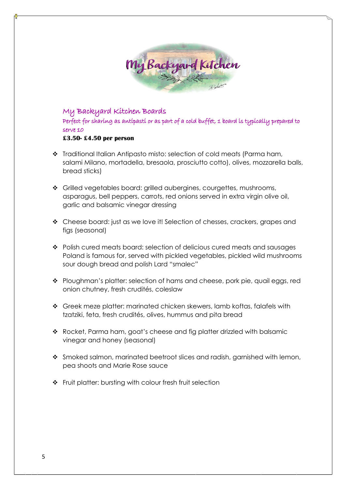

My Backyard Kitchen Boards Perfect for sharing as antipasti or as part of a cold buffet, 1 board is typically prepared to serve 10 **£3.50- £4.50 per person**

- \* Traditional Italian Antipasto misto: selection of cold meats (Parma ham, salami Milano, mortadella, bresaola, prosciutto cotto), olives, mozzarella balls, bread sticks)
- \* Grilled vegetables board: grilled aubergines, courgettes, mushrooms, asparagus, bell peppers, carrots, red onions served in extra virgin olive oil, garlic and balsamic vinegar dressing
- \* Cheese board: just as we love it! Selection of chesses, crackers, grapes and figs (seasonal)
- \* Polish cured meats board: selection of delicious cured meats and sausages Poland is famous for, served with pickled vegetables, pickled wild mushrooms sour dough bread and polish Lard "smalec"
- \* Ploughman's platter: selection of hams and cheese, pork pie, quail eggs, red onion chutney, fresh crudités, coleslaw
- Greek meze platter: marinated chicken skewers, lamb koftas, falafels with tzatziki, feta, fresh crudités, olives, hummus and pita bread
- \* Rocket, Parma ham, goat's cheese and fig platter drizzled with balsamic vinegar and honey (seasonal)
- $\cdot$  Smoked salmon, marinated beetroot slices and radish, garnished with lemon, pea shoots and Marie Rose sauce
- ❖ Fruit platter: bursting with colour fresh fruit selection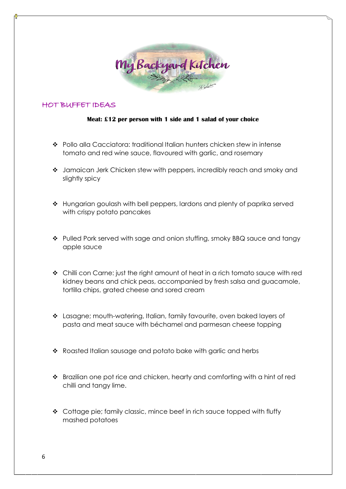

## HOT BUFFET IDEAS

### **Meat: £12 per person with 1 side and 1 salad of your choice**

- Pollo alla Cacciatora: traditional Italian hunters chicken stew in intense tomato and red wine sauce, flavoured with garlic, and rosemary
- Jamaican Jerk Chicken stew with peppers, incredibly reach and smoky and slightly spicy
- \* Hungarian goulash with bell peppers, lardons and plenty of paprika served with crispy potato pancakes
- \* Pulled Pork served with sage and onion stuffing, smoky BBQ sauce and tangy apple sauce
- Chilli con Carne: just the right amount of heat in a rich tomato sauce with red kidney beans and chick peas, accompanied by fresh salsa and guacamole, tortilla chips, grated cheese and sored cream
- Lasagne; mouth-watering, Italian, family favourite, oven baked layers of pasta and meat sauce with béchamel and parmesan cheese topping
- \* Roasted Italian sausage and potato bake with garlic and herbs
- Brazilian one pot rice and chicken, hearty and comforting with a hint of red chilli and tangy lime.
- Cottage pie; family classic, mince beef in rich sauce topped with fluffy mashed potatoes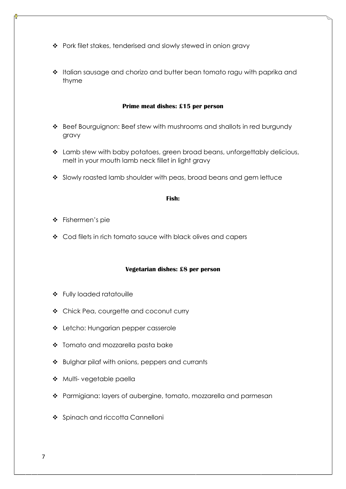- ❖ Pork filet stakes, tenderised and slowly stewed in onion gravy
- ❖ Italian sausage and chorizo and butter bean tomato ragu with paprika and thyme

#### **Prime meat dishes: £15 per person**

- Beef Bourguignon: Beef stew with mushrooms and shallots in red burgundy gravy
- Lamb stew with baby potatoes, green broad beans, unforgettably delicious, melt in your mouth lamb neck fillet in light gravy
- Slowly roasted lamb shoulder with peas, broad beans and gem lettuce

#### **Fish:**

- ❖ Fishermen's pie
- ❖ Cod filets in rich tomato sauce with black olives and capers

#### **Vegetarian dishes: £8 per person**

- Fully loaded ratatouille
- Chick Pea, courgette and coconut curry
- Letcho: Hungarian pepper casserole
- Tomato and mozzarella pasta bake
- ❖ Bulghar pilaf with onions, peppers and currants
- \* Multi- vegetable paella
- Parmigiana: layers of aubergine, tomato, mozzarella and parmesan
- ❖ Spinach and riccotta Cannelloni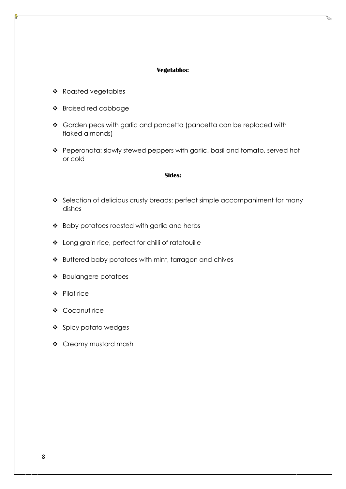#### **Vegetables:**

- \* Roasted vegetables
- Braised red cabbage
- \* Garden peas with garlic and pancetta (pancetta can be replaced with flaked almonds)
- \* Peperonata: slowly stewed peppers with garlic, basil and tomato, served hot or cold

#### **Sides:**

- \* Selection of delicious crusty breads: perfect simple accompaniment for many dishes
- \* Baby potatoes roasted with garlic and herbs
- Long grain rice, perfect for chilli of ratatouille
- ❖ Buttered baby potatoes with mint, tarragon and chives
- Boulangere potatoes
- Pilaf rice
- Coconut rice
- ❖ Spicy potato wedges
- Creamy mustard mash